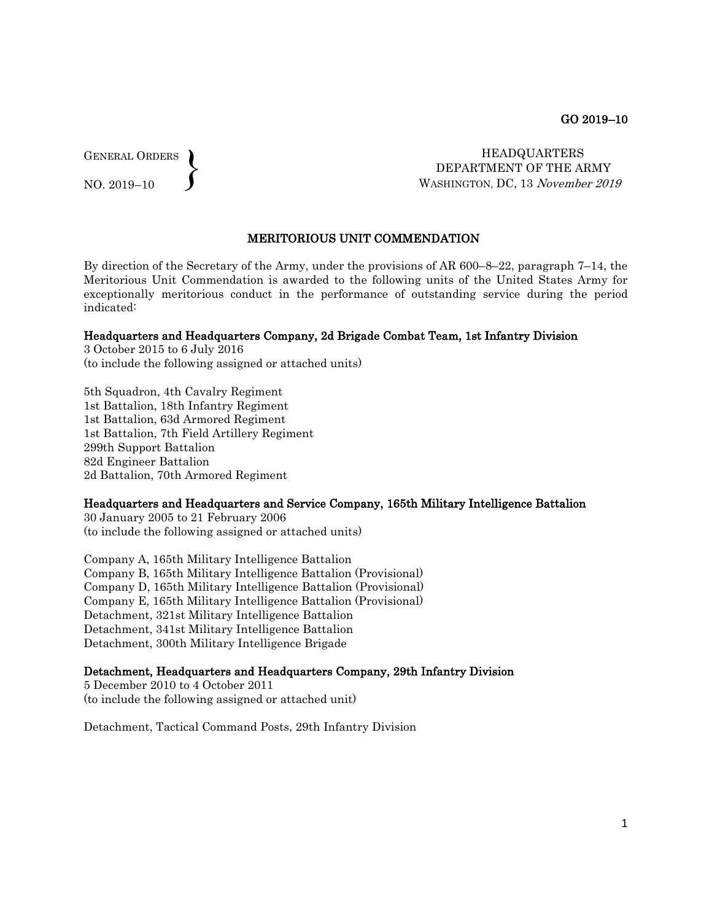GENERAL ORDERS  $\left\{ \right\}$ 

NO. 2019–10

 HEADQUARTERS DEPARTMENT OF THE ARMY WASHINGTON, DC, 13 November 2019

## MERITORIOUS UNIT COMMENDATION

By direction of the Secretary of the Army, under the provisions of AR 600–8–22, paragraph 7–14, the Meritorious Unit Commendation is awarded to the following units of the United States Army for exceptionally meritorious conduct in the performance of outstanding service during the period indicated:

#### Headquarters and Headquarters Company, 2d Brigade Combat Team, 1st Infantry Division

3 October 2015 to 6 July 2016 (to include the following assigned or attached units)

5th Squadron, 4th Cavalry Regiment 1st Battalion, 18th Infantry Regiment 1st Battalion, 63d Armored Regiment 1st Battalion, 7th Field Artillery Regiment 299th Support Battalion 82d Engineer Battalion 2d Battalion, 70th Armored Regiment

#### Headquarters and Headquarters and Service Company, 165th Military Intelligence Battalion

30 January 2005 to 21 February 2006 (to include the following assigned or attached units)

Company A, 165th Military Intelligence Battalion Company B, 165th Military Intelligence Battalion (Provisional) Company D, 165th Military Intelligence Battalion (Provisional) Company E, 165th Military Intelligence Battalion (Provisional) Detachment, 321st Military Intelligence Battalion Detachment, 341st Military Intelligence Battalion Detachment, 300th Military Intelligence Brigade

# Detachment, Headquarters and Headquarters Company, 29th Infantry Division

5 December 2010 to 4 October 2011 (to include the following assigned or attached unit)

Detachment, Tactical Command Posts, 29th Infantry Division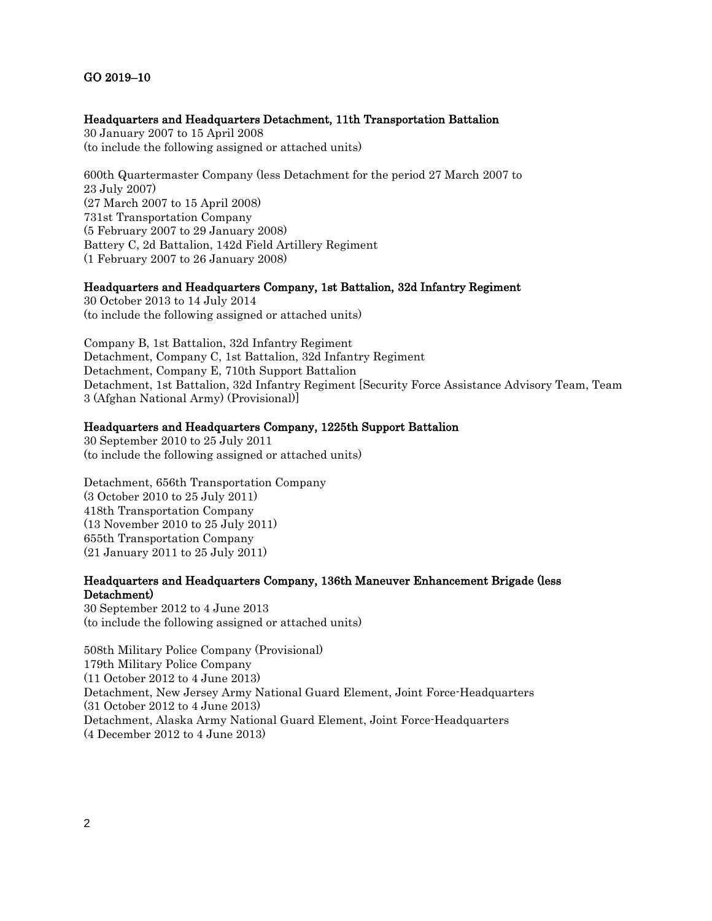# GO 2019–10

### Headquarters and Headquarters Detachment, 11th Transportation Battalion

30 January 2007 to 15 April 2008 (to include the following assigned or attached units)

600th Quartermaster Company (less Detachment for the period 27 March 2007 to 23 July 2007) (27 March 2007 to 15 April 2008) 731st Transportation Company (5 February 2007 to 29 January 2008) Battery C, 2d Battalion, 142d Field Artillery Regiment (1 February 2007 to 26 January 2008)

# Headquarters and Headquarters Company, 1st Battalion, 32d Infantry Regiment

30 October 2013 to 14 July 2014 (to include the following assigned or attached units)

Company B, 1st Battalion, 32d Infantry Regiment Detachment, Company C, 1st Battalion, 32d Infantry Regiment Detachment, Company E, 710th Support Battalion Detachment, 1st Battalion, 32d Infantry Regiment [Security Force Assistance Advisory Team, Team 3 (Afghan National Army) (Provisional)]

### Headquarters and Headquarters Company, 1225th Support Battalion

30 September 2010 to 25 July 2011 (to include the following assigned or attached units)

Detachment, 656th Transportation Company (3 October 2010 to 25 July 2011) 418th Transportation Company (13 November 2010 to 25 July 2011) 655th Transportation Company (21 January 2011 to 25 July 2011)

# Headquarters and Headquarters Company, 136th Maneuver Enhancement Brigade (less Detachment)

30 September 2012 to 4 June 2013 (to include the following assigned or attached units)

508th Military Police Company (Provisional) 179th Military Police Company (11 October 2012 to 4 June 2013) Detachment, New Jersey Army National Guard Element, Joint Force-Headquarters (31 October 2012 to 4 June 2013) Detachment, Alaska Army National Guard Element, Joint Force-Headquarters (4 December 2012 to 4 June 2013)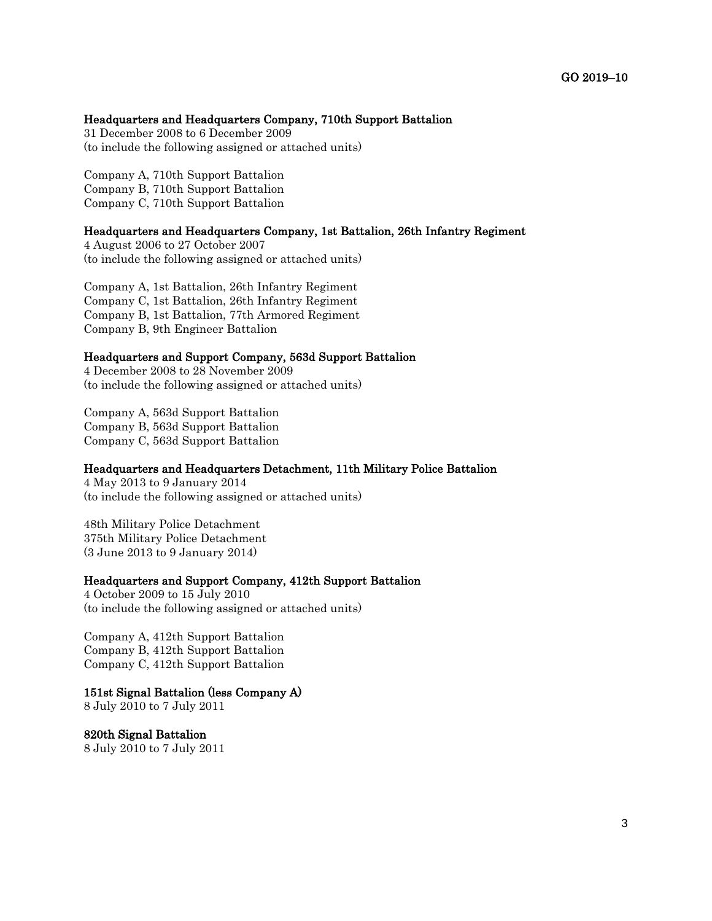### Headquarters and Headquarters Company, 710th Support Battalion

31 December 2008 to 6 December 2009 (to include the following assigned or attached units)

Company A, 710th Support Battalion Company B, 710th Support Battalion Company C, 710th Support Battalion

## Headquarters and Headquarters Company, 1st Battalion, 26th Infantry Regiment

4 August 2006 to 27 October 2007 (to include the following assigned or attached units)

Company A, 1st Battalion, 26th Infantry Regiment Company C, 1st Battalion, 26th Infantry Regiment Company B, 1st Battalion, 77th Armored Regiment Company B, 9th Engineer Battalion

#### Headquarters and Support Company, 563d Support Battalion

4 December 2008 to 28 November 2009 (to include the following assigned or attached units)

Company A, 563d Support Battalion Company B, 563d Support Battalion Company C, 563d Support Battalion

# Headquarters and Headquarters Detachment, 11th Military Police Battalion

4 May 2013 to 9 January 2014 (to include the following assigned or attached units)

48th Military Police Detachment 375th Military Police Detachment (3 June 2013 to 9 January 2014)

#### Headquarters and Support Company, 412th Support Battalion

4 October 2009 to 15 July 2010 (to include the following assigned or attached units)

Company A, 412th Support Battalion Company B, 412th Support Battalion Company C, 412th Support Battalion

# 151st Signal Battalion (less Company A)

8 July 2010 to 7 July 2011

820th Signal Battalion 8 July 2010 to 7 July 2011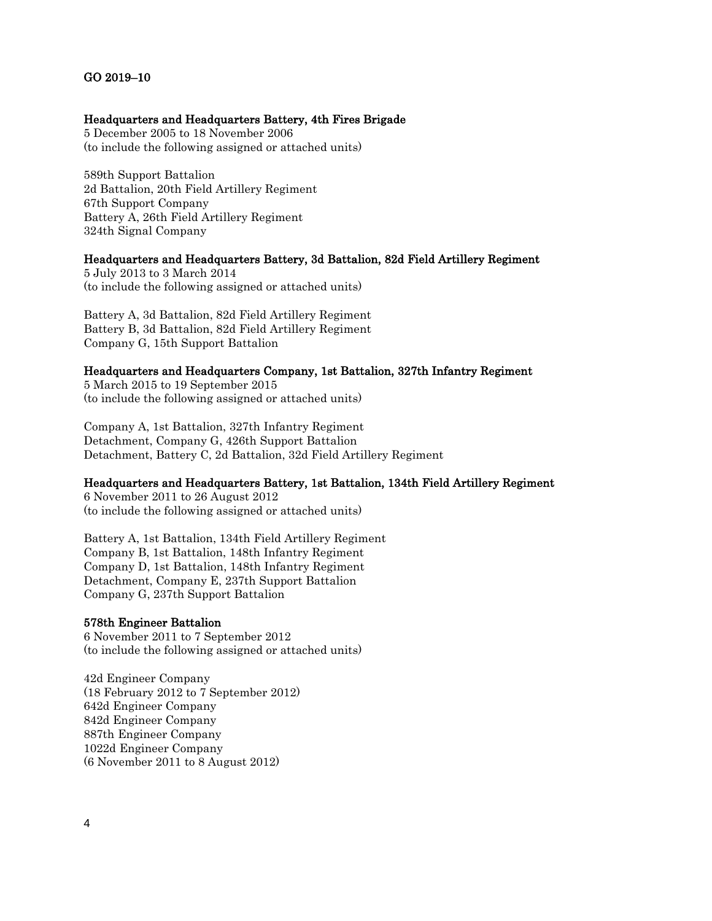# GO 2019–10

# Headquarters and Headquarters Battery, 4th Fires Brigade

5 December 2005 to 18 November 2006 (to include the following assigned or attached units)

589th Support Battalion 2d Battalion, 20th Field Artillery Regiment 67th Support Company Battery A, 26th Field Artillery Regiment 324th Signal Company

# Headquarters and Headquarters Battery, 3d Battalion, 82d Field Artillery Regiment

5 July 2013 to 3 March 2014 (to include the following assigned or attached units)

Battery A, 3d Battalion, 82d Field Artillery Regiment Battery B, 3d Battalion, 82d Field Artillery Regiment Company G, 15th Support Battalion

## Headquarters and Headquarters Company, 1st Battalion, 327th Infantry Regiment

5 March 2015 to 19 September 2015 (to include the following assigned or attached units)

Company A, 1st Battalion, 327th Infantry Regiment Detachment, Company G, 426th Support Battalion Detachment, Battery C, 2d Battalion, 32d Field Artillery Regiment

# Headquarters and Headquarters Battery, 1st Battalion, 134th Field Artillery Regiment

6 November 2011 to 26 August 2012 (to include the following assigned or attached units)

Battery A, 1st Battalion, 134th Field Artillery Regiment Company B, 1st Battalion, 148th Infantry Regiment Company D, 1st Battalion, 148th Infantry Regiment Detachment, Company E, 237th Support Battalion Company G, 237th Support Battalion

### 578th Engineer Battalion

6 November 2011 to 7 September 2012 (to include the following assigned or attached units)

42d Engineer Company (18 February 2012 to 7 September 2012) 642d Engineer Company 842d Engineer Company 887th Engineer Company 1022d Engineer Company (6 November 2011 to 8 August 2012)